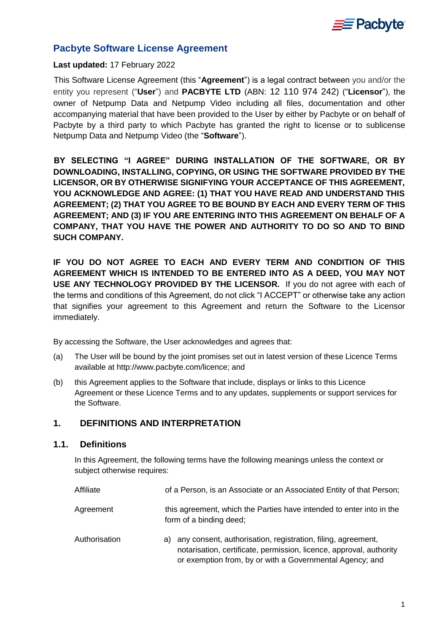

# **Pacbyte Software License Agreement**

#### **Last updated:** 17 February 2022

This Software License Agreement (this "**Agreement**") is a legal contract between you and/or the entity you represent ("**User**") and **PACBYTE LTD** (ABN: 12 110 974 242) ("**Licensor**"), the owner of Netpump Data and Netpump Video including all files, documentation and other accompanying material that have been provided to the User by either by Pacbyte or on behalf of Pacbyte by a third party to which Pacbyte has granted the right to license or to sublicense Netpump Data and Netpump Video (the "**Software**").

**BY SELECTING "I AGREE" DURING INSTALLATION OF THE SOFTWARE, OR BY DOWNLOADING, INSTALLING, COPYING, OR USING THE SOFTWARE PROVIDED BY THE LICENSOR, OR BY OTHERWISE SIGNIFYING YOUR ACCEPTANCE OF THIS AGREEMENT, YOU ACKNOWLEDGE AND AGREE: (1) THAT YOU HAVE READ AND UNDERSTAND THIS AGREEMENT; (2) THAT YOU AGREE TO BE BOUND BY EACH AND EVERY TERM OF THIS AGREEMENT; AND (3) IF YOU ARE ENTERING INTO THIS AGREEMENT ON BEHALF OF A COMPANY, THAT YOU HAVE THE POWER AND AUTHORITY TO DO SO AND TO BIND SUCH COMPANY.**

**IF YOU DO NOT AGREE TO EACH AND EVERY TERM AND CONDITION OF THIS AGREEMENT WHICH IS INTENDED TO BE ENTERED INTO AS A DEED, YOU MAY NOT USE ANY TECHNOLOGY PROVIDED BY THE LICENSOR.** If you do not agree with each of the terms and conditions of this Agreement, do not click "I ACCEPT" or otherwise take any action that signifies your agreement to this Agreement and return the Software to the Licensor immediately.

By accessing the Software, the User acknowledges and agrees that:

- (a) The User will be bound by the joint promises set out in latest version of these Licence Terms available at http://www.pacbyte.com/licence; and
- (b) this Agreement applies to the Software that include, displays or links to this Licence Agreement or these Licence Terms and to any updates, supplements or support services for the Software.

# <span id="page-0-0"></span>**1. DEFINITIONS AND INTERPRETATION**

#### **1.1. Definitions**

In this Agreement, the following terms have the following meanings unless the context or subject otherwise requires:

| Affiliate     | of a Person, is an Associate or an Associated Entity of that Person;                                                                                                                               |  |  |
|---------------|----------------------------------------------------------------------------------------------------------------------------------------------------------------------------------------------------|--|--|
| Agreement     | this agreement, which the Parties have intended to enter into in the<br>form of a binding deed;                                                                                                    |  |  |
| Authorisation | a) any consent, authorisation, registration, filing, agreement,<br>notarisation, certificate, permission, licence, approval, authority<br>or exemption from, by or with a Governmental Agency; and |  |  |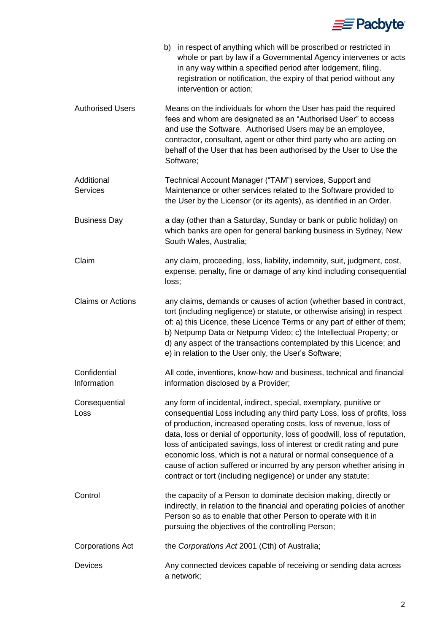

|                             | b) in respect of anything which will be proscribed or restricted in<br>whole or part by law if a Governmental Agency intervenes or acts<br>in any way within a specified period after lodgement, filing,<br>registration or notification, the expiry of that period without any<br>intervention or action;                                                                                                                                                                                                                                                                                 |  |  |
|-----------------------------|--------------------------------------------------------------------------------------------------------------------------------------------------------------------------------------------------------------------------------------------------------------------------------------------------------------------------------------------------------------------------------------------------------------------------------------------------------------------------------------------------------------------------------------------------------------------------------------------|--|--|
| <b>Authorised Users</b>     | Means on the individuals for whom the User has paid the required<br>fees and whom are designated as an "Authorised User" to access<br>and use the Software. Authorised Users may be an employee,<br>contractor, consultant, agent or other third party who are acting on<br>behalf of the User that has been authorised by the User to Use the<br>Software;                                                                                                                                                                                                                                |  |  |
| Additional<br>Services      | Technical Account Manager ("TAM") services, Support and<br>Maintenance or other services related to the Software provided to<br>the User by the Licensor (or its agents), as identified in an Order.                                                                                                                                                                                                                                                                                                                                                                                       |  |  |
| <b>Business Day</b>         | a day (other than a Saturday, Sunday or bank or public holiday) on<br>which banks are open for general banking business in Sydney, New<br>South Wales, Australia;                                                                                                                                                                                                                                                                                                                                                                                                                          |  |  |
| Claim                       | any claim, proceeding, loss, liability, indemnity, suit, judgment, cost,<br>expense, penalty, fine or damage of any kind including consequential<br>loss;                                                                                                                                                                                                                                                                                                                                                                                                                                  |  |  |
| <b>Claims or Actions</b>    | any claims, demands or causes of action (whether based in contract,<br>tort (including negligence) or statute, or otherwise arising) in respect<br>of: a) this Licence, these Licence Terms or any part of either of them;<br>b) Netpump Data or Netpump Video; c) the Intellectual Property; or<br>d) any aspect of the transactions contemplated by this Licence; and<br>e) in relation to the User only, the User's Software;                                                                                                                                                           |  |  |
| Confidential<br>Information | All code, inventions, know-how and business, technical and financial<br>information disclosed by a Provider;                                                                                                                                                                                                                                                                                                                                                                                                                                                                               |  |  |
| Consequential<br>Loss       | any form of incidental, indirect, special, exemplary, punitive or<br>consequential Loss including any third party Loss, loss of profits, loss<br>of production, increased operating costs, loss of revenue, loss of<br>data, loss or denial of opportunity, loss of goodwill, loss of reputation,<br>loss of anticipated savings, loss of interest or credit rating and pure<br>economic loss, which is not a natural or normal consequence of a<br>cause of action suffered or incurred by any person whether arising in<br>contract or tort (including negligence) or under any statute; |  |  |
| Control                     | the capacity of a Person to dominate decision making, directly or<br>indirectly, in relation to the financial and operating policies of another<br>Person so as to enable that other Person to operate with it in<br>pursuing the objectives of the controlling Person;                                                                                                                                                                                                                                                                                                                    |  |  |
| <b>Corporations Act</b>     | the Corporations Act 2001 (Cth) of Australia;                                                                                                                                                                                                                                                                                                                                                                                                                                                                                                                                              |  |  |
| Devices                     | Any connected devices capable of receiving or sending data across<br>a network;                                                                                                                                                                                                                                                                                                                                                                                                                                                                                                            |  |  |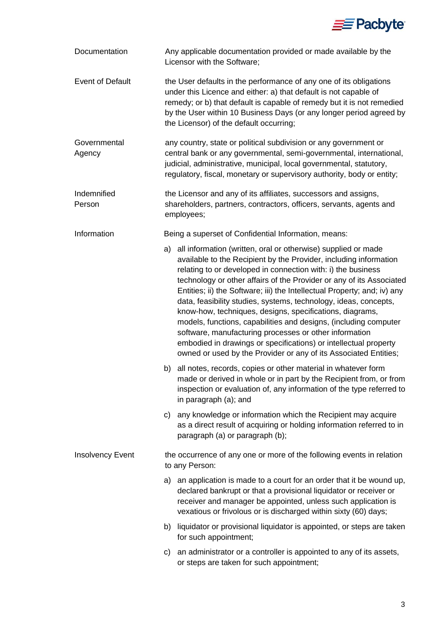

| Documentation           | Any applicable documentation provided or made available by the<br>Licensor with the Software;                                                        |                                                                                                                                                                                                                                                                                                                                                                                                                                                                                                                                                                                                                                                                                                                                                                 |  |  |
|-------------------------|------------------------------------------------------------------------------------------------------------------------------------------------------|-----------------------------------------------------------------------------------------------------------------------------------------------------------------------------------------------------------------------------------------------------------------------------------------------------------------------------------------------------------------------------------------------------------------------------------------------------------------------------------------------------------------------------------------------------------------------------------------------------------------------------------------------------------------------------------------------------------------------------------------------------------------|--|--|
| <b>Event of Default</b> |                                                                                                                                                      | the User defaults in the performance of any one of its obligations<br>under this Licence and either: a) that default is not capable of<br>remedy; or b) that default is capable of remedy but it is not remedied<br>by the User within 10 Business Days (or any longer period agreed by<br>the Licensor) of the default occurring;                                                                                                                                                                                                                                                                                                                                                                                                                              |  |  |
| Governmental<br>Agency  |                                                                                                                                                      | any country, state or political subdivision or any government or<br>central bank or any governmental, semi-governmental, international,<br>judicial, administrative, municipal, local governmental, statutory,<br>regulatory, fiscal, monetary or supervisory authority, body or entity;                                                                                                                                                                                                                                                                                                                                                                                                                                                                        |  |  |
| Indemnified<br>Person   | the Licensor and any of its affiliates, successors and assigns,<br>shareholders, partners, contractors, officers, servants, agents and<br>employees; |                                                                                                                                                                                                                                                                                                                                                                                                                                                                                                                                                                                                                                                                                                                                                                 |  |  |
| Information             |                                                                                                                                                      | Being a superset of Confidential Information, means:                                                                                                                                                                                                                                                                                                                                                                                                                                                                                                                                                                                                                                                                                                            |  |  |
|                         |                                                                                                                                                      | a) all information (written, oral or otherwise) supplied or made<br>available to the Recipient by the Provider, including information<br>relating to or developed in connection with: i) the business<br>technology or other affairs of the Provider or any of its Associated<br>Entities; ii) the Software; iii) the Intellectual Property; and; iv) any<br>data, feasibility studies, systems, technology, ideas, concepts,<br>know-how, techniques, designs, specifications, diagrams,<br>models, functions, capabilities and designs, (including computer<br>software, manufacturing processes or other information<br>embodied in drawings or specifications) or intellectual property<br>owned or used by the Provider or any of its Associated Entities; |  |  |
|                         |                                                                                                                                                      | b) all notes, records, copies or other material in whatever form<br>made or derived in whole or in part by the Recipient from, or from<br>inspection or evaluation of, any information of the type referred to<br>in paragraph (a); and                                                                                                                                                                                                                                                                                                                                                                                                                                                                                                                         |  |  |
|                         |                                                                                                                                                      | c) any knowledge or information which the Recipient may acquire<br>as a direct result of acquiring or holding information referred to in<br>paragraph (a) or paragraph (b);                                                                                                                                                                                                                                                                                                                                                                                                                                                                                                                                                                                     |  |  |
| <b>Insolvency Event</b> | the occurrence of any one or more of the following events in relation<br>to any Person:                                                              |                                                                                                                                                                                                                                                                                                                                                                                                                                                                                                                                                                                                                                                                                                                                                                 |  |  |
|                         |                                                                                                                                                      | a) an application is made to a court for an order that it be wound up,<br>declared bankrupt or that a provisional liquidator or receiver or<br>receiver and manager be appointed, unless such application is<br>vexatious or frivolous or is discharged within sixty (60) days;                                                                                                                                                                                                                                                                                                                                                                                                                                                                                 |  |  |
|                         |                                                                                                                                                      | b) liquidator or provisional liquidator is appointed, or steps are taken<br>for such appointment;                                                                                                                                                                                                                                                                                                                                                                                                                                                                                                                                                                                                                                                               |  |  |
|                         | C)                                                                                                                                                   | an administrator or a controller is appointed to any of its assets,<br>or steps are taken for such appointment;                                                                                                                                                                                                                                                                                                                                                                                                                                                                                                                                                                                                                                                 |  |  |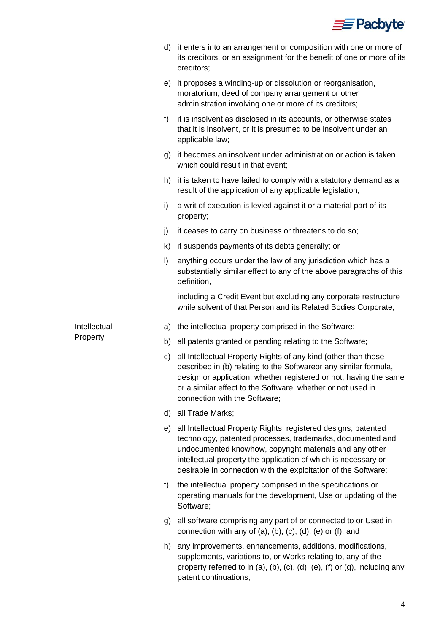

|              | d)      | it enters into an arrangement or composition with one or more of<br>its creditors, or an assignment for the benefit of one or more of its<br>creditors;                                                                                                                                                                     |
|--------------|---------|-----------------------------------------------------------------------------------------------------------------------------------------------------------------------------------------------------------------------------------------------------------------------------------------------------------------------------|
|              | e)      | it proposes a winding-up or dissolution or reorganisation,<br>moratorium, deed of company arrangement or other<br>administration involving one or more of its creditors;                                                                                                                                                    |
|              | f)      | it is insolvent as disclosed in its accounts, or otherwise states<br>that it is insolvent, or it is presumed to be insolvent under an<br>applicable law;                                                                                                                                                                    |
|              | g)      | it becomes an insolvent under administration or action is taken<br>which could result in that event;                                                                                                                                                                                                                        |
|              | h)      | it is taken to have failed to comply with a statutory demand as a<br>result of the application of any applicable legislation;                                                                                                                                                                                               |
|              | i)      | a writ of execution is levied against it or a material part of its<br>property;                                                                                                                                                                                                                                             |
|              | j)      | it ceases to carry on business or threatens to do so;                                                                                                                                                                                                                                                                       |
|              | k)      | it suspends payments of its debts generally; or                                                                                                                                                                                                                                                                             |
|              | $\vert$ | anything occurs under the law of any jurisdiction which has a<br>substantially similar effect to any of the above paragraphs of this<br>definition,                                                                                                                                                                         |
|              |         | including a Credit Event but excluding any corporate restructure<br>while solvent of that Person and its Related Bodies Corporate;                                                                                                                                                                                          |
| Intellectual | a)      | the intellectual property comprised in the Software;                                                                                                                                                                                                                                                                        |
| Property     | b)      | all patents granted or pending relating to the Software;                                                                                                                                                                                                                                                                    |
|              | C)      | all Intellectual Property Rights of any kind (other than those<br>described in (b) relating to the Softwareor any similar formula,<br>design or application, whether registered or not, having the same<br>or a similar effect to the Software, whether or not used in<br>connection with the Software;                     |
|              | d)      | all Trade Marks;                                                                                                                                                                                                                                                                                                            |
|              | e)      | all Intellectual Property Rights, registered designs, patented<br>technology, patented processes, trademarks, documented and<br>undocumented knowhow, copyright materials and any other<br>intellectual property the application of which is necessary or<br>desirable in connection with the exploitation of the Software; |
|              | f)      | the intellectual property comprised in the specifications or<br>operating manuals for the development, Use or updating of the<br>Software;                                                                                                                                                                                  |
|              | g)      | all software comprising any part of or connected to or Used in<br>connection with any of (a), (b), (c), (d), (e) or (f); and                                                                                                                                                                                                |
|              | h)      | any improvements, enhancements, additions, modifications,<br>supplements, variations to, or Works relating to, any of the<br>property referred to in (a), (b), (c), (d), (e), (f) or (g), including any<br>patent continuations,                                                                                            |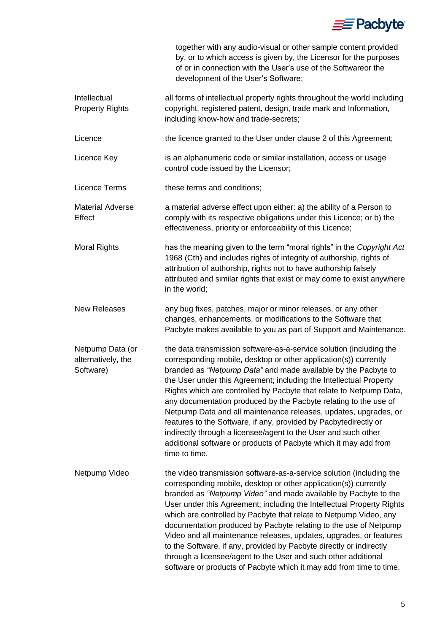

|                                                     | together with any audio-visual or other sample content provided<br>by, or to which access is given by, the Licensor for the purposes<br>of or in connection with the User's use of the Softwareor the<br>development of the User's Software;                                                                                                                                                                                                                                                                                                                                                                                                                                                                              |
|-----------------------------------------------------|---------------------------------------------------------------------------------------------------------------------------------------------------------------------------------------------------------------------------------------------------------------------------------------------------------------------------------------------------------------------------------------------------------------------------------------------------------------------------------------------------------------------------------------------------------------------------------------------------------------------------------------------------------------------------------------------------------------------------|
| Intellectual<br><b>Property Rights</b>              | all forms of intellectual property rights throughout the world including<br>copyright, registered patent, design, trade mark and Information,<br>including know-how and trade-secrets;                                                                                                                                                                                                                                                                                                                                                                                                                                                                                                                                    |
| Licence                                             | the licence granted to the User under clause 2 of this Agreement;                                                                                                                                                                                                                                                                                                                                                                                                                                                                                                                                                                                                                                                         |
| Licence Key                                         | is an alphanumeric code or similar installation, access or usage<br>control code issued by the Licensor;                                                                                                                                                                                                                                                                                                                                                                                                                                                                                                                                                                                                                  |
| Licence Terms                                       | these terms and conditions;                                                                                                                                                                                                                                                                                                                                                                                                                                                                                                                                                                                                                                                                                               |
| <b>Material Adverse</b><br>Effect                   | a material adverse effect upon either: a) the ability of a Person to<br>comply with its respective obligations under this Licence; or b) the<br>effectiveness, priority or enforceability of this Licence;                                                                                                                                                                                                                                                                                                                                                                                                                                                                                                                |
| <b>Moral Rights</b>                                 | has the meaning given to the term "moral rights" in the Copyright Act<br>1968 (Cth) and includes rights of integrity of authorship, rights of<br>attribution of authorship, rights not to have authorship falsely<br>attributed and similar rights that exist or may come to exist anywhere<br>in the world;                                                                                                                                                                                                                                                                                                                                                                                                              |
| <b>New Releases</b>                                 | any bug fixes, patches, major or minor releases, or any other<br>changes, enhancements, or modifications to the Software that<br>Pacbyte makes available to you as part of Support and Maintenance.                                                                                                                                                                                                                                                                                                                                                                                                                                                                                                                       |
| Netpump Data (or<br>alternatively, the<br>Software) | the data transmission software-as-a-service solution (including the<br>corresponding mobile, desktop or other application(s)) currently<br>branded as "Netpump Data" and made available by the Pacbyte to<br>the User under this Agreement; including the Intellectual Property<br>Rights which are controlled by Pacbyte that relate to Netpump Data,<br>any documentation produced by the Pacbyte relating to the use of<br>Netpump Data and all maintenance releases, updates, upgrades, or<br>features to the Software, if any, provided by Pacbytedirectly or<br>indirectly through a licensee/agent to the User and such other<br>additional software or products of Pacbyte which it may add from<br>time to time. |
| Netpump Video                                       | the video transmission software-as-a-service solution (including the<br>corresponding mobile, desktop or other application(s)) currently<br>branded as "Netpump Video" and made available by Pacbyte to the<br>User under this Agreement; including the Intellectual Property Rights<br>which are controlled by Pacbyte that relate to Netpump Video, any<br>documentation produced by Pacbyte relating to the use of Netpump<br>Video and all maintenance releases, updates, upgrades, or features<br>to the Software, if any, provided by Pacbyte directly or indirectly<br>through a licensee/agent to the User and such other additional<br>software or products of Pacbyte which it may add from time to time.       |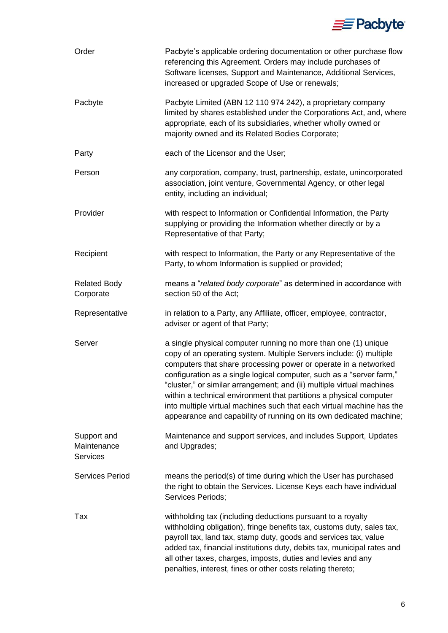

| Order                                         | Pacbyte's applicable ordering documentation or other purchase flow<br>referencing this Agreement. Orders may include purchases of<br>Software licenses, Support and Maintenance, Additional Services,<br>increased or upgraded Scope of Use or renewals;                                                                                                                                                                                                                                                                                                                       |  |  |
|-----------------------------------------------|--------------------------------------------------------------------------------------------------------------------------------------------------------------------------------------------------------------------------------------------------------------------------------------------------------------------------------------------------------------------------------------------------------------------------------------------------------------------------------------------------------------------------------------------------------------------------------|--|--|
| Pacbyte                                       | Pacbyte Limited (ABN 12 110 974 242), a proprietary company<br>limited by shares established under the Corporations Act, and, where<br>appropriate, each of its subsidiaries, whether wholly owned or<br>majority owned and its Related Bodies Corporate;                                                                                                                                                                                                                                                                                                                      |  |  |
| Party                                         | each of the Licensor and the User;                                                                                                                                                                                                                                                                                                                                                                                                                                                                                                                                             |  |  |
| Person                                        | any corporation, company, trust, partnership, estate, unincorporated<br>association, joint venture, Governmental Agency, or other legal<br>entity, including an individual;                                                                                                                                                                                                                                                                                                                                                                                                    |  |  |
| Provider                                      | with respect to Information or Confidential Information, the Party<br>supplying or providing the Information whether directly or by a<br>Representative of that Party;                                                                                                                                                                                                                                                                                                                                                                                                         |  |  |
| Recipient                                     | with respect to Information, the Party or any Representative of the<br>Party, to whom Information is supplied or provided;                                                                                                                                                                                                                                                                                                                                                                                                                                                     |  |  |
| <b>Related Body</b><br>Corporate              | means a "related body corporate" as determined in accordance with<br>section 50 of the Act;                                                                                                                                                                                                                                                                                                                                                                                                                                                                                    |  |  |
| Representative                                | in relation to a Party, any Affiliate, officer, employee, contractor,<br>adviser or agent of that Party;                                                                                                                                                                                                                                                                                                                                                                                                                                                                       |  |  |
| Server                                        | a single physical computer running no more than one (1) unique<br>copy of an operating system. Multiple Servers include: (i) multiple<br>computers that share processing power or operate in a networked<br>configuration as a single logical computer, such as a "server farm,"<br>"cluster," or similar arrangement; and (ii) multiple virtual machines<br>within a technical environment that partitions a physical computer<br>into multiple virtual machines such that each virtual machine has the<br>appearance and capability of running on its own dedicated machine; |  |  |
| Support and<br>Maintenance<br><b>Services</b> | Maintenance and support services, and includes Support, Updates<br>and Upgrades;                                                                                                                                                                                                                                                                                                                                                                                                                                                                                               |  |  |
| <b>Services Period</b>                        | means the period(s) of time during which the User has purchased<br>the right to obtain the Services. License Keys each have individual<br>Services Periods;                                                                                                                                                                                                                                                                                                                                                                                                                    |  |  |
| Tax                                           | withholding tax (including deductions pursuant to a royalty<br>withholding obligation), fringe benefits tax, customs duty, sales tax,<br>payroll tax, land tax, stamp duty, goods and services tax, value<br>added tax, financial institutions duty, debits tax, municipal rates and<br>all other taxes, charges, imposts, duties and levies and any<br>penalties, interest, fines or other costs relating thereto;                                                                                                                                                            |  |  |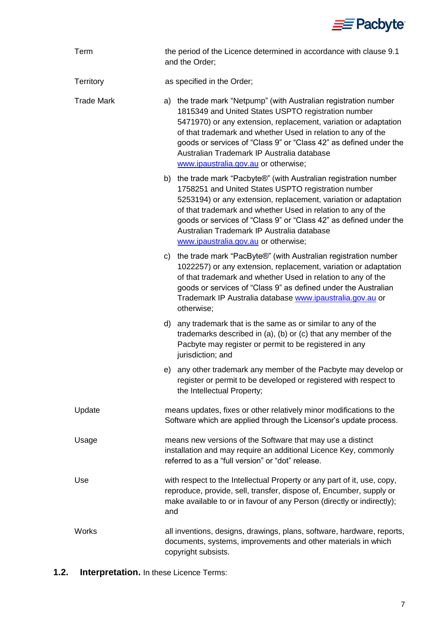

| Term              | the period of the Licence determined in accordance with clause 9.1<br>and the Order;                                                                                                                                                                                                                                                                                                                                     |  |  |
|-------------------|--------------------------------------------------------------------------------------------------------------------------------------------------------------------------------------------------------------------------------------------------------------------------------------------------------------------------------------------------------------------------------------------------------------------------|--|--|
| Territory         | as specified in the Order;                                                                                                                                                                                                                                                                                                                                                                                               |  |  |
| <b>Trade Mark</b> | the trade mark "Netpump" (with Australian registration number<br>a)<br>1815349 and United States USPTO registration number<br>5471970) or any extension, replacement, variation or adaptation<br>of that trademark and whether Used in relation to any of the<br>goods or services of "Class 9" or "Class 42" as defined under the<br>Australian Trademark IP Australia database<br>www.ipaustralia.gov.au or otherwise; |  |  |
|                   | b) the trade mark "Pacbyte®" (with Australian registration number<br>1758251 and United States USPTO registration number<br>5253194) or any extension, replacement, variation or adaptation<br>of that trademark and whether Used in relation to any of the<br>goods or services of "Class 9" or "Class 42" as defined under the<br>Australian Trademark IP Australia database<br>www.ipaustralia.gov.au or otherwise;   |  |  |
|                   | c) the trade mark "PacByte®" (with Australian registration number<br>1022257) or any extension, replacement, variation or adaptation<br>of that trademark and whether Used in relation to any of the<br>goods or services of "Class 9" as defined under the Australian<br>Trademark IP Australia database www.ipaustralia.gov.au or<br>otherwise;                                                                        |  |  |
|                   | any trademark that is the same as or similar to any of the<br>d)<br>trademarks described in (a), (b) or (c) that any member of the<br>Pacbyte may register or permit to be registered in any<br>jurisdiction; and                                                                                                                                                                                                        |  |  |
|                   | any other trademark any member of the Pacbyte may develop or<br>e)<br>register or permit to be developed or registered with respect to<br>the Intellectual Property;                                                                                                                                                                                                                                                     |  |  |
| Update            | means updates, fixes or other relatively minor modifications to the<br>Software which are applied through the Licensor's update process.                                                                                                                                                                                                                                                                                 |  |  |
| Usage             | means new versions of the Software that may use a distinct<br>installation and may require an additional Licence Key, commonly<br>referred to as a "full version" or "dot" release.                                                                                                                                                                                                                                      |  |  |
| Use               | with respect to the Intellectual Property or any part of it, use, copy,<br>reproduce, provide, sell, transfer, dispose of, Encumber, supply or<br>make available to or in favour of any Person (directly or indirectly);<br>and                                                                                                                                                                                          |  |  |
| <b>Works</b>      | all inventions, designs, drawings, plans, software, hardware, reports,<br>documents, systems, improvements and other materials in which<br>copyright subsists.                                                                                                                                                                                                                                                           |  |  |

**1.2. Interpretation.** In these Licence Terms: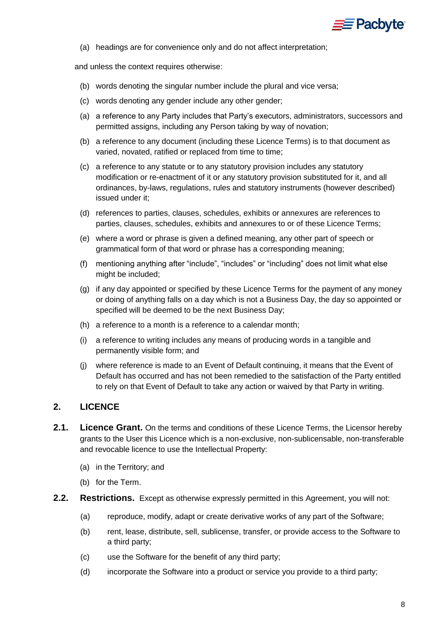

(a) headings are for convenience only and do not affect interpretation;

and unless the context requires otherwise:

- (b) words denoting the singular number include the plural and vice versa;
- (c) words denoting any gender include any other gender;
- (a) a reference to any Party includes that Party's executors, administrators, successors and permitted assigns, including any Person taking by way of novation;
- (b) a reference to any document (including these Licence Terms) is to that document as varied, novated, ratified or replaced from time to time;
- (c) a reference to any statute or to any statutory provision includes any statutory modification or re-enactment of it or any statutory provision substituted for it, and all ordinances, by-laws, regulations, rules and statutory instruments (however described) issued under it;
- (d) references to parties, clauses, schedules, exhibits or annexures are references to parties, clauses, schedules, exhibits and annexures to or of these Licence Terms;
- (e) where a word or phrase is given a defined meaning, any other part of speech or grammatical form of that word or phrase has a corresponding meaning;
- (f) mentioning anything after "include", "includes" or "including" does not limit what else might be included;
- (g) if any day appointed or specified by these Licence Terms for the payment of any money or doing of anything falls on a day which is not a Business Day, the day so appointed or specified will be deemed to be the next Business Day;
- (h) a reference to a month is a reference to a calendar month;
- (i) a reference to writing includes any means of producing words in a tangible and permanently visible form; and
- (j) where reference is made to an Event of Default continuing, it means that the Event of Default has occurred and has not been remedied to the satisfaction of the Party entitled to rely on that Event of Default to take any action or waived by that Party in writing.

# <span id="page-7-0"></span>**2. LICENCE**

- **2.1. Licence Grant.** On the terms and conditions of these Licence Terms, the Licensor hereby grants to the User this Licence which is a non-exclusive, non-sublicensable, non-transferable and revocable licence to use the Intellectual Property:
	- (a) in the Territory; and
	- (b) for the Term.
- **2.2. Restrictions.** Except as otherwise expressly permitted in this Agreement, you will not:
	- (a) reproduce, modify, adapt or create derivative works of any part of the Software;
	- (b) rent, lease, distribute, sell, sublicense, transfer, or provide access to the Software to a third party;
	- (c) use the Software for the benefit of any third party;
	- (d) incorporate the Software into a product or service you provide to a third party;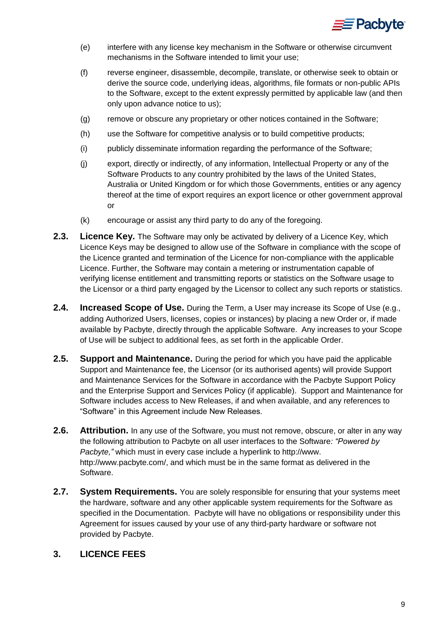

- (e) interfere with any license key mechanism in the Software or otherwise circumvent mechanisms in the Software intended to limit your use;
- (f) reverse engineer, disassemble, decompile, translate, or otherwise seek to obtain or derive the source code, underlying ideas, algorithms, file formats or non-public APIs to the Software, except to the extent expressly permitted by applicable law (and then only upon advance notice to us);
- (g) remove or obscure any proprietary or other notices contained in the Software;
- (h) use the Software for competitive analysis or to build competitive products;
- (i) publicly disseminate information regarding the performance of the Software;
- (j) export, directly or indirectly, of any information, Intellectual Property or any of the Software Products to any country prohibited by the laws of the United States, Australia or United Kingdom or for which those Governments, entities or any agency thereof at the time of export requires an export licence or other government approval or
- (k) encourage or assist any third party to do any of the foregoing.
- **2.3. Licence Key.** The Software may only be activated by delivery of a Licence Key, which Licence Keys may be designed to allow use of the Software in compliance with the scope of the Licence granted and termination of the Licence for non-compliance with the applicable Licence. Further, the Software may contain a metering or instrumentation capable of verifying license entitlement and transmitting reports or statistics on the Software usage to the Licensor or a third party engaged by the Licensor to collect any such reports or statistics.
- **2.4. Increased Scope of Use.** During the Term, a User may increase its Scope of Use (e.g., adding Authorized Users, licenses, copies or instances) by placing a new Order or, if made available by Pacbyte, directly through the applicable Software. Any increases to your Scope of Use will be subject to additional fees, as set forth in the applicable Order.
- **2.5. Support and Maintenance.** During the period for which you have paid the applicable Support and Maintenance fee, the Licensor (or its authorised agents) will provide Support and Maintenance Services for the Software in accordance with the Pacbyte Support Policy and the Enterprise Support and Services Policy (if applicable). Support and Maintenance for Software includes access to New Releases, if and when available, and any references to "Software" in this Agreement include New Releases.
- **2.6. Attribution.** In any use of the Software, you must not remove, obscure, or alter in any way the following attribution to Pacbyte on all user interfaces to the Software*: "Powered by Pacbyte,"* which must in every case include a hyperlink to http://www. http://www.pacbyte.com/, and which must be in the same format as delivered in the Software.
- **2.7. System Requirements.** You are solely responsible for ensuring that your systems meet the hardware, software and any other applicable system requirements for the Software as specified in the Documentation. Pacbyte will have no obligations or responsibility under this Agreement for issues caused by your use of any third-party hardware or software not provided by Pacbyte.

# **3. LICENCE FEES**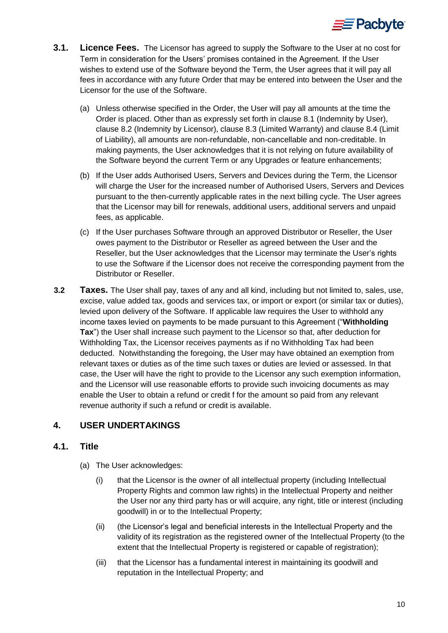

- **3.1. Licence Fees.** The Licensor has agreed to supply the Software to the User at no cost for Term in consideration for the Users' promises contained in the Agreement. If the User wishes to extend use of the Software beyond the Term, the User agrees that it will pay all fees in accordance with any future Order that may be entered into between the User and the Licensor for the use of the Software.
	- (a) Unless otherwise specified in the Order, the User will pay all amounts at the time the Order is placed. Other than as expressly set forth in clause [8.1](#page-14-0) (Indemnity by User), clause [8.2](#page-14-1) (Indemnity by Licensor), clause [8.3](#page-14-2) (Limited Warranty) and clause [8.4](#page-15-1) (Limit of Liability), all amounts are non-refundable, non-cancellable and non-creditable. In making payments, the User acknowledges that it is not relying on future availability of the Software beyond the current Term or any Upgrades or feature enhancements;
	- (b) If the User adds Authorised Users, Servers and Devices during the Term, the Licensor will charge the User for the increased number of Authorised Users, Servers and Devices pursuant to the then-currently applicable rates in the next billing cycle. The User agrees that the Licensor may bill for renewals, additional users, additional servers and unpaid fees, as applicable.
	- (c) If the User purchases Software through an approved Distributor or Reseller, the User owes payment to the Distributor or Reseller as agreed between the User and the Reseller, but the User acknowledges that the Licensor may terminate the User's rights to use the Software if the Licensor does not receive the corresponding payment from the Distributor or Reseller.
- **3.2 Taxes.** The User shall pay, taxes of any and all kind, including but not limited to, sales, use, excise, value added tax, goods and services tax, or import or export (or similar tax or duties), levied upon delivery of the Software. If applicable law requires the User to withhold any income taxes levied on payments to be made pursuant to this Agreement ("**Withholding Tax**") the User shall increase such payment to the Licensor so that, after deduction for Withholding Tax, the Licensor receives payments as if no Withholding Tax had been deducted. Notwithstanding the foregoing, the User may have obtained an exemption from relevant taxes or duties as of the time such taxes or duties are levied or assessed. In that case, the User will have the right to provide to the Licensor any such exemption information, and the Licensor will use reasonable efforts to provide such invoicing documents as may enable the User to obtain a refund or credit f for the amount so paid from any relevant revenue authority if such a refund or credit is available.

# <span id="page-9-0"></span>**4. USER UNDERTAKINGS**

# **4.1. Title**

- (a) The User acknowledges:
	- (i) that the Licensor is the owner of all intellectual property (including Intellectual Property Rights and common law rights) in the Intellectual Property and neither the User nor any third party has or will acquire, any right, title or interest (including goodwill) in or to the Intellectual Property;
	- (ii) (the Licensor's legal and beneficial interests in the Intellectual Property and the validity of its registration as the registered owner of the Intellectual Property (to the extent that the Intellectual Property is registered or capable of registration);
	- (iii) that the Licensor has a fundamental interest in maintaining its goodwill and reputation in the Intellectual Property; and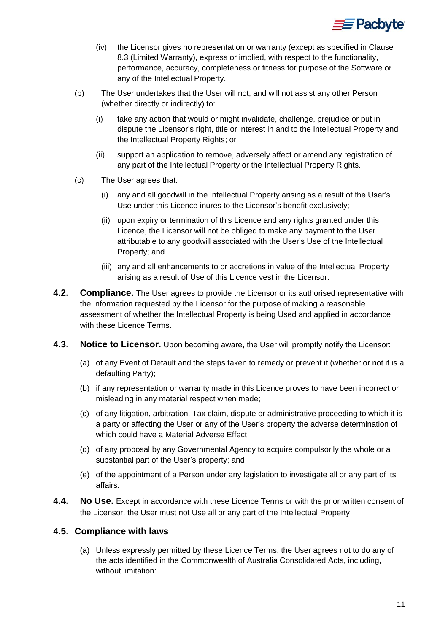

- (iv) the Licensor gives no representation or warranty (except as specified in Clause [8.3](#page-14-2) (Limited Warranty), express or implied, with respect to the functionality, performance, accuracy, completeness or fitness for purpose of the Software or any of the Intellectual Property.
- (b) The User undertakes that the User will not, and will not assist any other Person (whether directly or indirectly) to:
	- (i) take any action that would or might invalidate, challenge, prejudice or put in dispute the Licensor's right, title or interest in and to the Intellectual Property and the Intellectual Property Rights; or
	- (ii) support an application to remove, adversely affect or amend any registration of any part of the Intellectual Property or the Intellectual Property Rights.
- (c) The User agrees that:
	- (i) any and all goodwill in the Intellectual Property arising as a result of the User's Use under this Licence inures to the Licensor's benefit exclusively;
	- (ii) upon expiry or termination of this Licence and any rights granted under this Licence, the Licensor will not be obliged to make any payment to the User attributable to any goodwill associated with the User's Use of the Intellectual Property; and
	- (iii) any and all enhancements to or accretions in value of the Intellectual Property arising as a result of Use of this Licence vest in the Licensor.
- **4.2. Compliance.** The User agrees to provide the Licensor or its authorised representative with the Information requested by the Licensor for the purpose of making a reasonable assessment of whether the Intellectual Property is being Used and applied in accordance with these Licence Terms.
- **4.3. Notice to Licensor.** Upon becoming aware, the User will promptly notify the Licensor:
	- (a) of any Event of Default and the steps taken to remedy or prevent it (whether or not it is a defaulting Party);
	- (b) if any representation or warranty made in this Licence proves to have been incorrect or misleading in any material respect when made;
	- (c) of any litigation, arbitration, Tax claim, dispute or administrative proceeding to which it is a party or affecting the User or any of the User's property the adverse determination of which could have a Material Adverse Effect;
	- (d) of any proposal by any Governmental Agency to acquire compulsorily the whole or a substantial part of the User's property; and
	- (e) of the appointment of a Person under any legislation to investigate all or any part of its affairs.
- **4.4. No Use.** Except in accordance with these Licence Terms or with the prior written consent of the Licensor, the User must not Use all or any part of the Intellectual Property.

# **4.5. Compliance with laws**

(a) Unless expressly permitted by these Licence Terms, the User agrees not to do any of the acts identified in the Commonwealth of Australia Consolidated Acts, including, without limitation: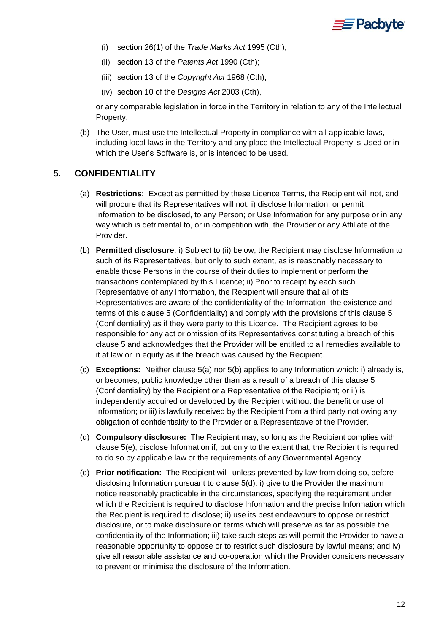

- (i) section 26(1) of the *Trade Marks Act* 1995 (Cth);
- (ii) section 13 of the *Patents Act* 1990 (Cth);
- (iii) section 13 of the *Copyright Act* 1968 (Cth);
- (iv) section 10 of the *Designs Act* 2003 (Cth),

or any comparable legislation in force in the Territory in relation to any of the Intellectual Property.

(b) The User, must use the Intellectual Property in compliance with all applicable laws, including local laws in the Territory and any place the Intellectual Property is Used or in which the User's Software is, or is intended to be used.

#### <span id="page-11-1"></span><span id="page-11-0"></span>**5. CONFIDENTIALITY**

- (a) **Restrictions:** Except as permitted by these Licence Terms, the Recipient will not, and will procure that its Representatives will not: i) disclose Information, or permit Information to be disclosed, to any Person; or Use Information for any purpose or in any way which is detrimental to, or in competition with, the Provider or any Affiliate of the Provider.
- <span id="page-11-2"></span>(b) **Permitted disclosure**: i) Subject to (ii) below, the Recipient may disclose Information to such of its Representatives, but only to such extent, as is reasonably necessary to enable those Persons in the course of their duties to implement or perform the transactions contemplated by this Licence; ii) Prior to receipt by each such Representative of any Information, the Recipient will ensure that all of its Representatives are aware of the confidentiality of the Information, the existence and terms of this clause [5](#page-11-0) (Confidentiality) and comply with the provisions of this clause [5](#page-11-0) (Confidentiality) as if they were party to this Licence. The Recipient agrees to be responsible for any act or omission of its Representatives constituting a breach of this clause [5](#page-11-0) and acknowledges that the Provider will be entitled to all remedies available to it at law or in equity as if the breach was caused by the Recipient.
- (c) **Exceptions:** Neither clause [5\(a\)](#page-11-1) nor [5\(b\)](#page-11-2) applies to any Information which: i) already is, or becomes, public knowledge other than as a result of a breach of this clause [5](#page-11-0) (Confidentiality) by the Recipient or a Representative of the Recipient; or ii) is independently acquired or developed by the Recipient without the benefit or use of Information; or iii) is lawfully received by the Recipient from a third party not owing any obligation of confidentiality to the Provider or a Representative of the Provider.
- <span id="page-11-4"></span>(d) **Compulsory disclosure:** The Recipient may, so long as the Recipient complies with clause [5\(e\),](#page-11-3) disclose Information if, but only to the extent that, the Recipient is required to do so by applicable law or the requirements of any Governmental Agency.
- <span id="page-11-3"></span>(e) **Prior notification:** The Recipient will, unless prevented by law from doing so, before disclosing Information pursuant to clause [5\(d\):](#page-11-4) i) give to the Provider the maximum notice reasonably practicable in the circumstances, specifying the requirement under which the Recipient is required to disclose Information and the precise Information which the Recipient is required to disclose; ii) use its best endeavours to oppose or restrict disclosure, or to make disclosure on terms which will preserve as far as possible the confidentiality of the Information; iii) take such steps as will permit the Provider to have a reasonable opportunity to oppose or to restrict such disclosure by lawful means; and iv) give all reasonable assistance and co-operation which the Provider considers necessary to prevent or minimise the disclosure of the Information.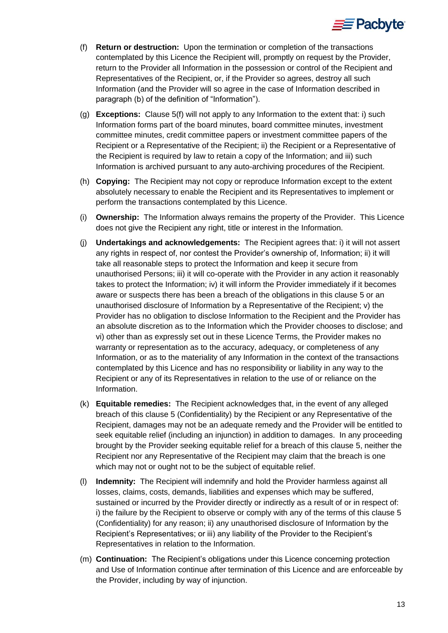

- <span id="page-12-0"></span>(f) **Return or destruction:** Upon the termination or completion of the transactions contemplated by this Licence the Recipient will, promptly on request by the Provider, return to the Provider all Information in the possession or control of the Recipient and Representatives of the Recipient, or, if the Provider so agrees, destroy all such Information (and the Provider will so agree in the case of Information described in paragraph (b) of the definition of "Information").
- (g) **Exceptions:** Clause [5\(f\)](#page-12-0) will not apply to any Information to the extent that: i) such Information forms part of the board minutes, board committee minutes, investment committee minutes, credit committee papers or investment committee papers of the Recipient or a Representative of the Recipient; ii) the Recipient or a Representative of the Recipient is required by law to retain a copy of the Information; and iii) such Information is archived pursuant to any auto-archiving procedures of the Recipient.
- (h) **Copying:** The Recipient may not copy or reproduce Information except to the extent absolutely necessary to enable the Recipient and its Representatives to implement or perform the transactions contemplated by this Licence.
- (i) **Ownership:** The Information always remains the property of the Provider. This Licence does not give the Recipient any right, title or interest in the Information.
- (j) **Undertakings and acknowledgements:** The Recipient agrees that: i) it will not assert any rights in respect of, nor contest the Provider's ownership of, Information; ii) it will take all reasonable steps to protect the Information and keep it secure from unauthorised Persons; iii) it will co-operate with the Provider in any action it reasonably takes to protect the Information; iv) it will inform the Provider immediately if it becomes aware or suspects there has been a breach of the obligations in this clause [5](#page-11-0) or an unauthorised disclosure of Information by a Representative of the Recipient; v) the Provider has no obligation to disclose Information to the Recipient and the Provider has an absolute discretion as to the Information which the Provider chooses to disclose; and vi) other than as expressly set out in these Licence Terms, the Provider makes no warranty or representation as to the accuracy, adequacy, or completeness of any Information, or as to the materiality of any Information in the context of the transactions contemplated by this Licence and has no responsibility or liability in any way to the Recipient or any of its Representatives in relation to the use of or reliance on the Information.
- (k) **Equitable remedies:** The Recipient acknowledges that, in the event of any alleged breach of this clause [5](#page-11-0) (Confidentiality) by the Recipient or any Representative of the Recipient, damages may not be an adequate remedy and the Provider will be entitled to seek equitable relief (including an injunction) in addition to damages. In any proceeding brought by the Provider seeking equitable relief for a breach of this clause [5,](#page-11-0) neither the Recipient nor any Representative of the Recipient may claim that the breach is one which may not or ought not to be the subject of equitable relief.
- (l) **Indemnity:** The Recipient will indemnify and hold the Provider harmless against all losses, claims, costs, demands, liabilities and expenses which may be suffered, sustained or incurred by the Provider directly or indirectly as a result of or in respect of: i) the failure by the Recipient to observe or comply with any of the terms of this clause [5](#page-11-0) (Confidentiality) for any reason; ii) any unauthorised disclosure of Information by the Recipient's Representatives; or iii) any liability of the Provider to the Recipient's Representatives in relation to the Information.
- (m) **Continuation:** The Recipient's obligations under this Licence concerning protection and Use of Information continue after termination of this Licence and are enforceable by the Provider, including by way of injunction.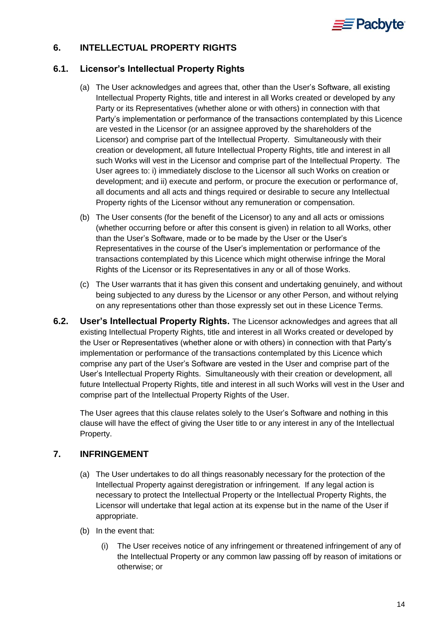

# <span id="page-13-0"></span>**6. INTELLECTUAL PROPERTY RIGHTS**

# **6.1. Licensor's Intellectual Property Rights**

- (a) The User acknowledges and agrees that, other than the User's Software, all existing Intellectual Property Rights, title and interest in all Works created or developed by any Party or its Representatives (whether alone or with others) in connection with that Party's implementation or performance of the transactions contemplated by this Licence are vested in the Licensor (or an assignee approved by the shareholders of the Licensor) and comprise part of the Intellectual Property. Simultaneously with their creation or development, all future Intellectual Property Rights, title and interest in all such Works will vest in the Licensor and comprise part of the Intellectual Property. The User agrees to: i) immediately disclose to the Licensor all such Works on creation or development; and ii) execute and perform, or procure the execution or performance of, all documents and all acts and things required or desirable to secure any Intellectual Property rights of the Licensor without any remuneration or compensation.
- (b) The User consents (for the benefit of the Licensor) to any and all acts or omissions (whether occurring before or after this consent is given) in relation to all Works, other than the User's Software, made or to be made by the User or the User's Representatives in the course of the User's implementation or performance of the transactions contemplated by this Licence which might otherwise infringe the Moral Rights of the Licensor or its Representatives in any or all of those Works.
- (c) The User warrants that it has given this consent and undertaking genuinely, and without being subjected to any duress by the Licensor or any other Person, and without relying on any representations other than those expressly set out in these Licence Terms.
- **6.2. User's Intellectual Property Rights.** The Licensor acknowledges and agrees that all existing Intellectual Property Rights, title and interest in all Works created or developed by the User or Representatives (whether alone or with others) in connection with that Party's implementation or performance of the transactions contemplated by this Licence which comprise any part of the User's Software are vested in the User and comprise part of the User's Intellectual Property Rights. Simultaneously with their creation or development, all future Intellectual Property Rights, title and interest in all such Works will vest in the User and comprise part of the Intellectual Property Rights of the User.

The User agrees that this clause relates solely to the User's Software and nothing in this clause will have the effect of giving the User title to or any interest in any of the Intellectual Property.

# <span id="page-13-1"></span>**7. INFRINGEMENT**

- (a) The User undertakes to do all things reasonably necessary for the protection of the Intellectual Property against deregistration or infringement. If any legal action is necessary to protect the Intellectual Property or the Intellectual Property Rights, the Licensor will undertake that legal action at its expense but in the name of the User if appropriate.
- (b) In the event that:
	- (i) The User receives notice of any infringement or threatened infringement of any of the Intellectual Property or any common law passing off by reason of imitations or otherwise; or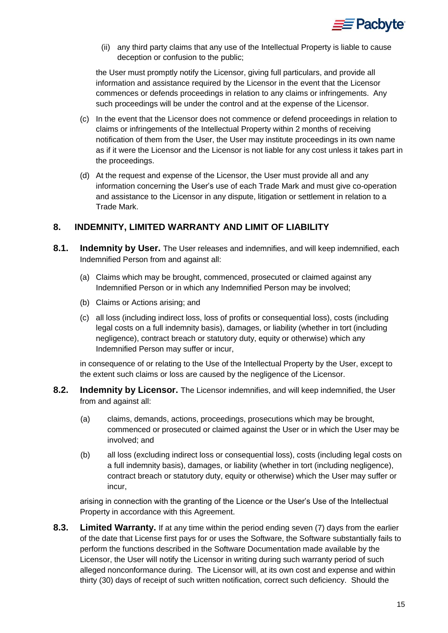

(ii) any third party claims that any use of the Intellectual Property is liable to cause deception or confusion to the public;

the User must promptly notify the Licensor, giving full particulars, and provide all information and assistance required by the Licensor in the event that the Licensor commences or defends proceedings in relation to any claims or infringements. Any such proceedings will be under the control and at the expense of the Licensor.

- (c) In the event that the Licensor does not commence or defend proceedings in relation to claims or infringements of the Intellectual Property within 2 months of receiving notification of them from the User, the User may institute proceedings in its own name as if it were the Licensor and the Licensor is not liable for any cost unless it takes part in the proceedings.
- (d) At the request and expense of the Licensor, the User must provide all and any information concerning the User's use of each Trade Mark and must give co-operation and assistance to the Licensor in any dispute, litigation or settlement in relation to a Trade Mark.

# <span id="page-14-3"></span>**8. INDEMNITY, LIMITED WARRANTY AND LIMIT OF LIABILITY**

- <span id="page-14-0"></span>**8.1. Indemnity by User.** The User releases and indemnifies, and will keep indemnified, each Indemnified Person from and against all:
	- (a) Claims which may be brought, commenced, prosecuted or claimed against any Indemnified Person or in which any Indemnified Person may be involved;
	- (b) Claims or Actions arising; and
	- (c) all loss (including indirect loss, loss of profits or consequential loss), costs (including legal costs on a full indemnity basis), damages, or liability (whether in tort (including negligence), contract breach or statutory duty, equity or otherwise) which any Indemnified Person may suffer or incur,

in consequence of or relating to the Use of the Intellectual Property by the User, except to the extent such claims or loss are caused by the negligence of the Licensor.

- <span id="page-14-1"></span>**8.2. Indemnity by Licensor.** The Licensor indemnifies, and will keep indemnified, the User from and against all:
	- (a) claims, demands, actions, proceedings, prosecutions which may be brought, commenced or prosecuted or claimed against the User or in which the User may be involved; and
	- (b) all loss (excluding indirect loss or consequential loss), costs (including legal costs on a full indemnity basis), damages, or liability (whether in tort (including negligence), contract breach or statutory duty, equity or otherwise) which the User may suffer or incur,

arising in connection with the granting of the Licence or the User's Use of the Intellectual Property in accordance with this Agreement.

<span id="page-14-2"></span>**8.3. Limited Warranty.** If at any time within the period ending seven (7) days from the earlier of the date that License first pays for or uses the Software, the Software substantially fails to perform the functions described in the Software Documentation made available by the Licensor, the User will notify the Licensor in writing during such warranty period of such alleged nonconformance during. The Licensor will, at its own cost and expense and within thirty (30) days of receipt of such written notification, correct such deficiency. Should the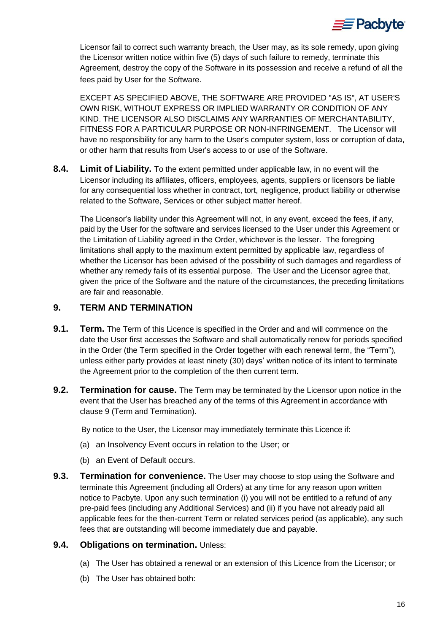

Licensor fail to correct such warranty breach, the User may, as its sole remedy, upon giving the Licensor written notice within five (5) days of such failure to remedy, terminate this Agreement, destroy the copy of the Software in its possession and receive a refund of all the fees paid by User for the Software.

EXCEPT AS SPECIFIED ABOVE, THE SOFTWARE ARE PROVIDED "AS IS", AT USER'S OWN RISK, WITHOUT EXPRESS OR IMPLIED WARRANTY OR CONDITION OF ANY KIND. THE LICENSOR ALSO DISCLAIMS ANY WARRANTIES OF MERCHANTABILITY, FITNESS FOR A PARTICULAR PURPOSE OR NON-INFRINGEMENT. The Licensor will have no responsibility for any harm to the User's computer system, loss or corruption of data, or other harm that results from User's access to or use of the Software.

<span id="page-15-1"></span>**8.4. Limit of Liability.** To the extent permitted under applicable law, in no event will the Licensor including its affiliates, officers, employees, agents, suppliers or licensors be liable for any consequential loss whether in contract, tort, negligence, product liability or otherwise related to the Software, Services or other subject matter hereof.

The Licensor's liability under this Agreement will not, in any event, exceed the fees, if any, paid by the User for the software and services licensed to the User under this Agreement or the Limitation of Liability agreed in the Order, whichever is the lesser. The foregoing limitations shall apply to the maximum extent permitted by applicable law, regardless of whether the Licensor has been advised of the possibility of such damages and regardless of whether any remedy fails of its essential purpose. The User and the Licensor agree that, given the price of the Software and the nature of the circumstances, the preceding limitations are fair and reasonable.

# <span id="page-15-2"></span>**9. TERM AND TERMINATION**

- <span id="page-15-0"></span>**9.1. Term.** The Term of this Licence is specified in the Order and and will commence on the date the User first accesses the Software and shall automatically renew for periods specified in the Order (the Term specified in the Order together with each renewal term, the "Term"), unless either party provides at least ninety (30) days' written notice of its intent to terminate the Agreement prior to the completion of the then current term.
- **9.2. Termination for cause.** The Term may be terminated by the Licensor upon notice in the event that the User has breached any of the terms of this Agreement in accordance with clause [9](#page-15-2) (Term and Termination).

By notice to the User, the Licensor may immediately terminate this Licence if:

- (a) an Insolvency Event occurs in relation to the User; or
- (b) an Event of Default occurs.
- **9.3. Termination for convenience.** The User may choose to stop using the Software and terminate this Agreement (including all Orders) at any time for any reason upon written notice to Pacbyte. Upon any such termination (i) you will not be entitled to a refund of any pre-paid fees (including any Additional Services) and (ii) if you have not already paid all applicable fees for the then-current Term or related services period (as applicable), any such fees that are outstanding will become immediately due and payable.

#### **9.4. Obligations on termination.** Unless:

- (a) The User has obtained a renewal or an extension of this Licence from the Licensor; or
- (b) The User has obtained both: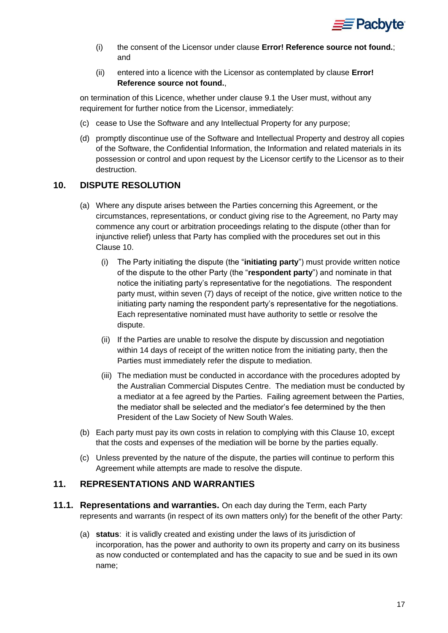

- (i) the consent of the Licensor under clause **Error! Reference source not found.**; and
- (ii) entered into a licence with the Licensor as contemplated by clause **Error! Reference source not found.**,

on termination of this Licence, whether under clause [9.1](#page-15-0) the User must, without any requirement for further notice from the Licensor, immediately:

- (c) cease to Use the Software and any Intellectual Property for any purpose;
- (d) promptly discontinue use of the Software and Intellectual Property and destroy all copies of the Software, the Confidential Information, the Information and related materials in its possession or control and upon request by the Licensor certify to the Licensor as to their destruction.

# <span id="page-16-0"></span>**10. DISPUTE RESOLUTION**

- (a) Where any dispute arises between the Parties concerning this Agreement, or the circumstances, representations, or conduct giving rise to the Agreement, no Party may commence any court or arbitration proceedings relating to the dispute (other than for injunctive relief) unless that Party has complied with the procedures set out in this Clause [10.](#page-16-0)
	- (i) The Party initiating the dispute (the "**initiating party**") must provide written notice of the dispute to the other Party (the "**respondent party**") and nominate in that notice the initiating party's representative for the negotiations. The respondent party must, within seven (7) days of receipt of the notice, give written notice to the initiating party naming the respondent party's representative for the negotiations. Each representative nominated must have authority to settle or resolve the dispute.
	- (ii) If the Parties are unable to resolve the dispute by discussion and negotiation within 14 days of receipt of the written notice from the initiating party, then the Parties must immediately refer the dispute to mediation.
	- (iii) The mediation must be conducted in accordance with the procedures adopted by the Australian Commercial Disputes Centre. The mediation must be conducted by a mediator at a fee agreed by the Parties. Failing agreement between the Parties, the mediator shall be selected and the mediator's fee determined by the then President of the Law Society of New South Wales.
- (b) Each party must pay its own costs in relation to complying with this Clause [10,](#page-16-0) except that the costs and expenses of the mediation will be borne by the parties equally.
- (c) Unless prevented by the nature of the dispute, the parties will continue to perform this Agreement while attempts are made to resolve the dispute.

#### <span id="page-16-2"></span>**11. REPRESENTATIONS AND WARRANTIES**

- <span id="page-16-1"></span>**11.1. Representations and warranties.** On each day during the Term, each Party represents and warrants (in respect of its own matters only) for the benefit of the other Party:
	- (a) **status**: it is validly created and existing under the laws of its jurisdiction of incorporation, has the power and authority to own its property and carry on its business as now conducted or contemplated and has the capacity to sue and be sued in its own name;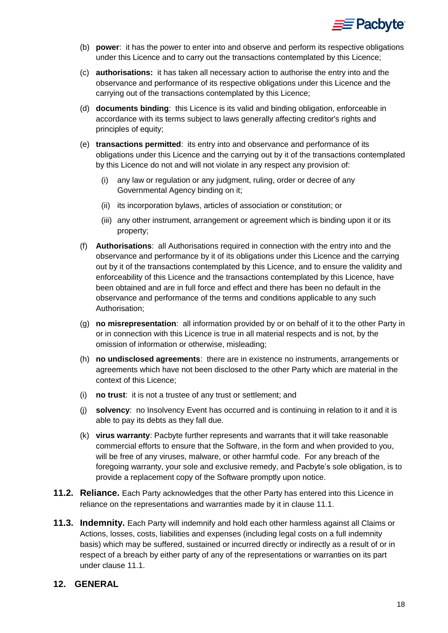

- (b) **power**: it has the power to enter into and observe and perform its respective obligations under this Licence and to carry out the transactions contemplated by this Licence;
- (c) **authorisations:** it has taken all necessary action to authorise the entry into and the observance and performance of its respective obligations under this Licence and the carrying out of the transactions contemplated by this Licence;
- (d) **documents binding**: this Licence is its valid and binding obligation, enforceable in accordance with its terms subject to laws generally affecting creditor's rights and principles of equity;
- (e) **transactions permitted**: its entry into and observance and performance of its obligations under this Licence and the carrying out by it of the transactions contemplated by this Licence do not and will not violate in any respect any provision of:
	- (i) any law or regulation or any judgment, ruling, order or decree of any Governmental Agency binding on it;
	- (ii) its incorporation bylaws, articles of association or constitution; or
	- (iii) any other instrument, arrangement or agreement which is binding upon it or its property;
- (f) **Authorisations**: all Authorisations required in connection with the entry into and the observance and performance by it of its obligations under this Licence and the carrying out by it of the transactions contemplated by this Licence, and to ensure the validity and enforceability of this Licence and the transactions contemplated by this Licence, have been obtained and are in full force and effect and there has been no default in the observance and performance of the terms and conditions applicable to any such Authorisation;
- (g) **no misrepresentation**: all information provided by or on behalf of it to the other Party in or in connection with this Licence is true in all material respects and is not, by the omission of information or otherwise, misleading;
- (h) **no undisclosed agreements**: there are in existence no instruments, arrangements or agreements which have not been disclosed to the other Party which are material in the context of this Licence;
- (i) **no trust**: it is not a trustee of any trust or settlement; and
- (j) **solvency**: no Insolvency Event has occurred and is continuing in relation to it and it is able to pay its debts as they fall due.
- (k) **virus warranty**: Pacbyte further represents and warrants that it will take reasonable commercial efforts to ensure that the Software, in the form and when provided to you, will be free of any viruses, malware, or other harmful code. For any breach of the foregoing warranty, your sole and exclusive remedy, and Pacbyte's sole obligation, is to provide a replacement copy of the Software promptly upon notice.
- **11.2. Reliance.** Each Party acknowledges that the other Party has entered into this Licence in reliance on the representations and warranties made by it in clause [11.1.](#page-16-1)
- **11.3. Indemnity.** Each Party will indemnify and hold each other harmless against all Claims or Actions, losses, costs, liabilities and expenses (including legal costs on a full indemnity basis) which may be suffered, sustained or incurred directly or indirectly as a result of or in respect of a breach by either party of any of the representations or warranties on its part under clause [11.1.](#page-16-1)

# <span id="page-17-0"></span>**12. GENERAL**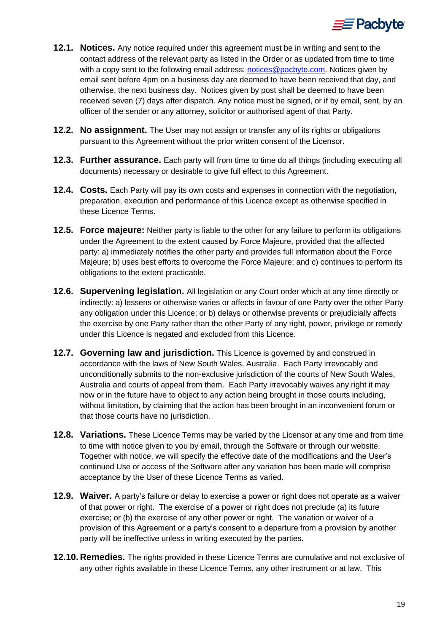

- **12.1. Notices.** Any notice required under this agreement must be in writing and sent to the contact address of the relevant party as listed in the Order or as updated from time to time with a copy sent to the following email address: [notices@pacbyte.com.](mailto:notices@pacbyte.com) Notices given by email sent before 4pm on a business day are deemed to have been received that day, and otherwise, the next business day. Notices given by post shall be deemed to have been received seven (7) days after dispatch. Any notice must be signed, or if by email, sent, by an officer of the sender or any attorney, solicitor or authorised agent of that Party.
- **12.2. No assignment.** The User may not assign or transfer any of its rights or obligations pursuant to this Agreement without the prior written consent of the Licensor.
- **12.3. Further assurance.** Each party will from time to time do all things (including executing all documents) necessary or desirable to give full effect to this Agreement.
- **12.4. Costs.** Each Party will pay its own costs and expenses in connection with the negotiation, preparation, execution and performance of this Licence except as otherwise specified in these Licence Terms.
- **12.5. Force majeure:** Neither party is liable to the other for any failure to perform its obligations under the Agreement to the extent caused by Force Majeure, provided that the affected party: a) immediately notifies the other party and provides full information about the Force Majeure; b) uses best efforts to overcome the Force Majeure; and c) continues to perform its obligations to the extent practicable.
- **12.6. Supervening legislation.** All legislation or any Court order which at any time directly or indirectly: a) lessens or otherwise varies or affects in favour of one Party over the other Party any obligation under this Licence; or b) delays or otherwise prevents or prejudicially affects the exercise by one Party rather than the other Party of any right, power, privilege or remedy under this Licence is negated and excluded from this Licence.
- **12.7. Governing law and jurisdiction.** This Licence is governed by and construed in accordance with the laws of New South Wales, Australia. Each Party irrevocably and unconditionally submits to the non-exclusive jurisdiction of the courts of New South Wales, Australia and courts of appeal from them. Each Party irrevocably waives any right it may now or in the future have to object to any action being brought in those courts including, without limitation, by claiming that the action has been brought in an inconvenient forum or that those courts have no jurisdiction.
- **12.8. Variations.** These Licence Terms may be varied by the Licensor at any time and from time to time with notice given to you by email, through the Software or through our website. Together with notice, we will specify the effective date of the modifications and the User's continued Use or access of the Software after any variation has been made will comprise acceptance by the User of these Licence Terms as varied.
- **12.9. Waiver.** A party's failure or delay to exercise a power or right does not operate as a waiver of that power or right. The exercise of a power or right does not preclude (a) its future exercise; or (b) the exercise of any other power or right. The variation or waiver of a provision of this Agreement or a party's consent to a departure from a provision by another party will be ineffective unless in writing executed by the parties.
- **12.10. Remedies.** The rights provided in these Licence Terms are cumulative and not exclusive of any other rights available in these Licence Terms, any other instrument or at law. This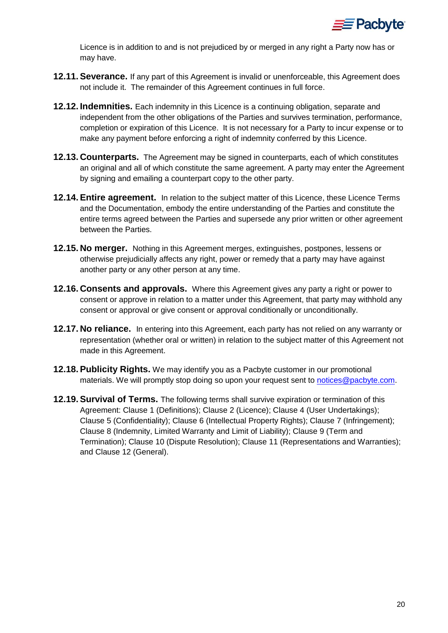

Licence is in addition to and is not prejudiced by or merged in any right a Party now has or may have.

- **12.11.Severance.** If any part of this Agreement is invalid or unenforceable, this Agreement does not include it. The remainder of this Agreement continues in full force.
- **12.12. Indemnities.** Each indemnity in this Licence is a continuing obligation, separate and independent from the other obligations of the Parties and survives termination, performance, completion or expiration of this Licence. It is not necessary for a Party to incur expense or to make any payment before enforcing a right of indemnity conferred by this Licence.
- **12.13. Counterparts.** The Agreement may be signed in counterparts, each of which constitutes an original and all of which constitute the same agreement. A party may enter the Agreement by signing and emailing a counterpart copy to the other party.
- **12.14.Entire agreement.** In relation to the subject matter of this Licence, these Licence Terms and the Documentation, embody the entire understanding of the Parties and constitute the entire terms agreed between the Parties and supersede any prior written or other agreement between the Parties.
- **12.15. No merger.** Nothing in this Agreement merges, extinguishes, postpones, lessens or otherwise prejudicially affects any right, power or remedy that a party may have against another party or any other person at any time.
- **12.16. Consents and approvals.** Where this Agreement gives any party a right or power to consent or approve in relation to a matter under this Agreement, that party may withhold any consent or approval or give consent or approval conditionally or unconditionally.
- **12.17. No reliance.** In entering into this Agreement, each party has not relied on any warranty or representation (whether oral or written) in relation to the subject matter of this Agreement not made in this Agreement.
- **12.18.Publicity Rights.** We may identify you as a Pacbyte customer in our promotional materials. We will promptly stop doing so upon your request sent to [notices@pacbyte.com.](mailto:notices@pacbyte.com)
- **12.19. Survival of Terms.** The following terms shall survive expiration or termination of this Agreement: Clause [1](#page-0-0) (Definitions); Clause [2](#page-7-0) (Licence); Clause [4](#page-9-0) (User Undertakings); Clause [5](#page-11-0) (Confidentiality); Clause [6](#page-13-0) (Intellectual Property Rights); Clause [7](#page-13-1) (Infringement); Clause [8](#page-14-3) (Indemnity, Limited Warranty and Limit of Liability); Clause [9](#page-15-2) (Term and Termination); Clause [10](#page-16-0) (Dispute Resolution); Clause [11](#page-16-2) (Representations and Warranties); and Clause [12](#page-17-0) (General).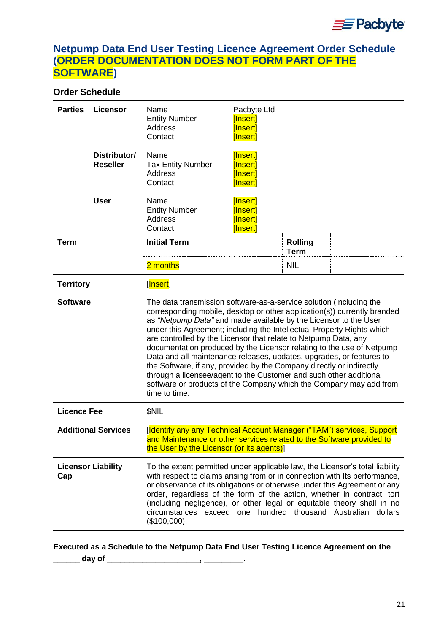# **Netpump Data End User Testing Licence Agreement Order Schedule (ORDER DOCUMENTATION DOES NOT FORM PART OF THE SOFTWARE)**

# **Order Schedule**

| <b>Parties</b>   | Licensor                                                                                                                                                                                                                                                                                                                                                                                                                                                                                                                                                                                                                                                                                                                                               | Name<br><b>Entity Number</b><br>Address<br>Contact                                                                                                                                                                                                                                                                                                                                                                                                                          | Pacbyte Ltd<br>[Insert]<br>[Insert]<br>[Insert] |                               |  |
|------------------|--------------------------------------------------------------------------------------------------------------------------------------------------------------------------------------------------------------------------------------------------------------------------------------------------------------------------------------------------------------------------------------------------------------------------------------------------------------------------------------------------------------------------------------------------------------------------------------------------------------------------------------------------------------------------------------------------------------------------------------------------------|-----------------------------------------------------------------------------------------------------------------------------------------------------------------------------------------------------------------------------------------------------------------------------------------------------------------------------------------------------------------------------------------------------------------------------------------------------------------------------|-------------------------------------------------|-------------------------------|--|
|                  | Distributor/<br><b>Reseller</b>                                                                                                                                                                                                                                                                                                                                                                                                                                                                                                                                                                                                                                                                                                                        | Name<br><b>Tax Entity Number</b><br>Address<br>Contact                                                                                                                                                                                                                                                                                                                                                                                                                      | [Insert]<br>[Insert]<br>[Insert]<br>[Insert]    |                               |  |
|                  | <b>User</b>                                                                                                                                                                                                                                                                                                                                                                                                                                                                                                                                                                                                                                                                                                                                            | Name<br><b>Entity Number</b><br>Address<br>Contact                                                                                                                                                                                                                                                                                                                                                                                                                          | [Insert]<br>[Insert]<br>[Insert]<br>[Insert]    |                               |  |
| <b>Term</b>      |                                                                                                                                                                                                                                                                                                                                                                                                                                                                                                                                                                                                                                                                                                                                                        | <b>Initial Term</b>                                                                                                                                                                                                                                                                                                                                                                                                                                                         |                                                 | <b>Rolling</b><br><b>Term</b> |  |
|                  |                                                                                                                                                                                                                                                                                                                                                                                                                                                                                                                                                                                                                                                                                                                                                        | 2 months                                                                                                                                                                                                                                                                                                                                                                                                                                                                    |                                                 | <b>NIL</b>                    |  |
| <b>Territory</b> |                                                                                                                                                                                                                                                                                                                                                                                                                                                                                                                                                                                                                                                                                                                                                        | [Insert]                                                                                                                                                                                                                                                                                                                                                                                                                                                                    |                                                 |                               |  |
| <b>Software</b>  | The data transmission software-as-a-service solution (including the<br>corresponding mobile, desktop or other application(s)) currently branded<br>as "Netpump Data" and made available by the Licensor to the User<br>under this Agreement; including the Intellectual Property Rights which<br>are controlled by the Licensor that relate to Netpump Data, any<br>documentation produced by the Licensor relating to the use of Netpump<br>Data and all maintenance releases, updates, upgrades, or features to<br>the Software, if any, provided by the Company directly or indirectly<br>through a licensee/agent to the Customer and such other additional<br>software or products of the Company which the Company may add from<br>time to time. |                                                                                                                                                                                                                                                                                                                                                                                                                                                                             |                                                 |                               |  |
|                  | <b>Licence Fee</b><br>\$NIL                                                                                                                                                                                                                                                                                                                                                                                                                                                                                                                                                                                                                                                                                                                            |                                                                                                                                                                                                                                                                                                                                                                                                                                                                             |                                                 |                               |  |
|                  | <b>Additional Services</b>                                                                                                                                                                                                                                                                                                                                                                                                                                                                                                                                                                                                                                                                                                                             | [Identify any any Technical Account Manager ("TAM") services, Support<br>and Maintenance or other services related to the Software provided to<br>the User by the Licensor (or its agents)]                                                                                                                                                                                                                                                                                 |                                                 |                               |  |
| Cap              | <b>Licensor Liability</b>                                                                                                                                                                                                                                                                                                                                                                                                                                                                                                                                                                                                                                                                                                                              | To the extent permitted under applicable law, the Licensor's total liability<br>with respect to claims arising from or in connection with Its performance,<br>or observance of its obligations or otherwise under this Agreement or any<br>order, regardless of the form of the action, whether in contract, tort<br>(including negligence), or other legal or equitable theory shall in no<br>circumstances exceed one hundred thousand Australian dollars<br>(\$100,000). |                                                 |                               |  |

**Executed as a Schedule to the Netpump Data End User Testing Licence Agreement on the** 

**\_\_\_\_\_\_ day of \_\_\_\_\_\_\_\_\_\_\_\_\_\_\_\_\_\_\_\_\_, \_\_\_\_\_\_\_\_\_.**